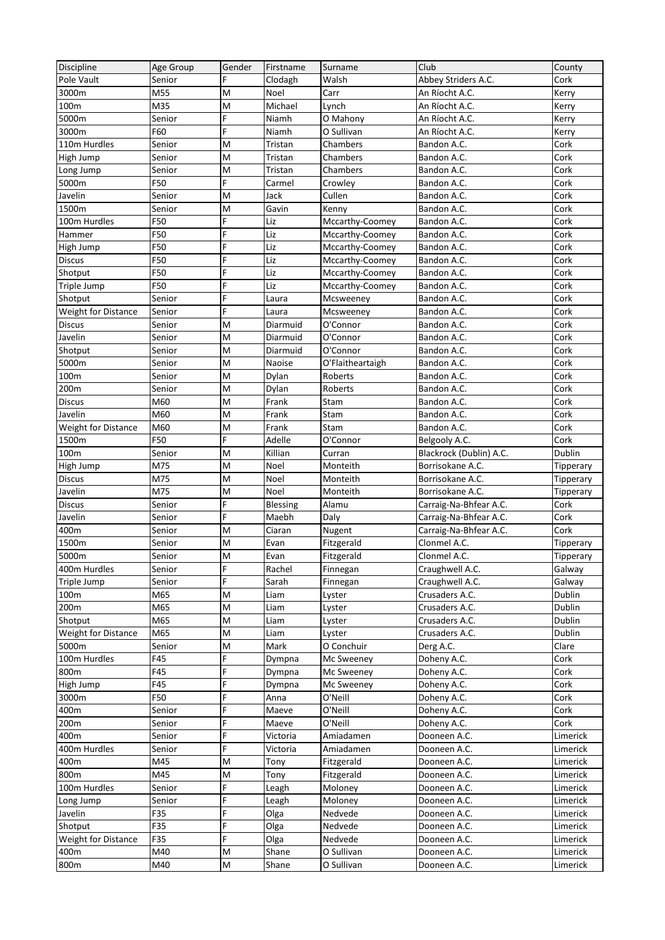| Discipline                 | Age Group     | Gender | Firstname    | Surname                  | Club                    | County        |
|----------------------------|---------------|--------|--------------|--------------------------|-------------------------|---------------|
| Pole Vault                 | Senior        | F      | Clodagh      | Walsh                    | Abbey Striders A.C.     | Cork          |
| 3000m                      | M55           | M      | Noel         | Carr                     | An Ríocht A.C.          | Kerry         |
| 100m                       | M35           | M      | Michael      | Lynch                    | An Ríocht A.C.          | Kerry         |
| 5000m                      | Senior        | F      | Niamh        | O Mahony                 | An Ríocht A.C.          | Kerry         |
| 3000m                      | F60           | F      | Niamh        | O Sullivan               | An Ríocht A.C.          | Kerry         |
| 110m Hurdles               | Senior        | M      | Tristan      | Chambers                 | Bandon A.C.             | Cork          |
| High Jump                  | Senior        | M      | Tristan      | Chambers                 | Bandon A.C.             | Cork          |
| Long Jump                  | Senior        | M      | Tristan      | Chambers                 | Bandon A.C.             | Cork          |
| 5000m                      | F50           | F      | Carmel       | Crowley                  | Bandon A.C.             | Cork          |
| Javelin                    | Senior        | M      | Jack         | Cullen                   | Bandon A.C.             | Cork          |
| 1500m                      | Senior        | M      | Gavin        | Kenny                    | Bandon A.C.             | Cork          |
| 100m Hurdles               | F50           | F      | Liz          | Mccarthy-Coomey          | Bandon A.C.             | Cork          |
| Hammer                     | F50           | F      | Liz          | Mccarthy-Coomey          | Bandon A.C.             | Cork          |
| High Jump                  | F50           | F      | Liz          | Mccarthy-Coomey          | Bandon A.C.             | Cork          |
| <b>Discus</b>              | F50           | Ë      | Liz          | Mccarthy-Coomey          | Bandon A.C.             | Cork          |
| Shotput                    | F50           | F      | Liz          | Mccarthy-Coomey          | Bandon A.C.             | Cork          |
| Triple Jump                | F50           | F      | Liz          | Mccarthy-Coomey          | Bandon A.C.             | Cork          |
| Shotput                    | Senior        | F      | Laura        | Mcsweeney                | Bandon A.C.             | Cork          |
| Weight for Distance        | Senior        | F      | Laura        | Mcsweeney                | Bandon A.C.             | Cork          |
| <b>Discus</b>              | Senior        | M      | Diarmuid     | O'Connor                 | Bandon A.C.             | Cork          |
| Javelin                    | Senior        | M      | Diarmuid     | O'Connor                 | Bandon A.C.             | Cork          |
| Shotput                    | Senior        | M      | Diarmuid     | O'Connor                 | Bandon A.C.             | Cork          |
| 5000m                      | Senior        | M      | Naoise       | O'Flaitheartaigh         | Bandon A.C.             | Cork          |
| 100m                       | Senior        | M      | Dylan        | Roberts                  | Bandon A.C.             | Cork          |
| 200m                       | Senior        | M      | Dylan        | Roberts                  | Bandon A.C.             | Cork          |
| <b>Discus</b>              | M60           | M      | Frank        | Stam                     | Bandon A.C.             | Cork          |
| Javelin                    | M60           | M      | Frank        | Stam                     | Bandon A.C.             | Cork          |
| Weight for Distance        | M60           | M      | Frank        | Stam                     | Bandon A.C.             | Cork          |
| 1500m                      | F50           | F      | Adelle       | O'Connor                 | Belgooly A.C.           | Cork          |
| 100m                       | Senior        | M      | Killian      | Curran                   | Blackrock (Dublin) A.C. | Dublin        |
| High Jump                  | M75           | M      | Noel         | Monteith                 | Borrisokane A.C.        | Tipperary     |
| <b>Discus</b>              | M75           | M      | Noel         | Monteith                 | Borrisokane A.C.        | Tipperary     |
| Javelin                    | M75           | M      | Noel         | Monteith                 | Borrisokane A.C.        | Tipperary     |
| <b>Discus</b>              | Senior        | F      | Blessing     | Alamu                    | Carraig-Na-Bhfear A.C.  | Cork          |
| Javelin                    | Senior        | F      | Maebh        | Daly                     | Carraig-Na-Bhfear A.C.  | Cork          |
| 400m                       | Senior        | M      | Ciaran       | Nugent                   | Carraig-Na-Bhfear A.C.  | Cork          |
| 1500m                      | Senior        | M      | Evan         | Fitzgerald               | Clonmel A.C.            | Tipperary     |
| 5000m                      | Senior        | M      | Evan         | Fitzgerald               | Clonmel A.C.            | Tipperary     |
| 400m Hurdles               | Senior        | F      | Rachel       | Finnegan                 | Craughwell A.C.         | Galway        |
| Triple Jump                | Senior        | F      | Sarah        | Finnegan                 | Craughwell A.C.         | Galway        |
| 100m                       | M65           | M      |              |                          | Crusaders A.C.          | Dublin        |
| 200m                       | M65           | M      | Liam<br>Liam | Lyster                   | Crusaders A.C.          | Dublin        |
| Shotput                    | M65           | M      | Liam         | Lyster                   | Crusaders A.C.          | Dublin        |
| Weight for Distance        | M65           | M      | Liam         | Lyster<br>Lyster         | Crusaders A.C.          | Dublin        |
| 5000m                      |               |        |              |                          |                         |               |
| 100m Hurdles               | Senior<br>F45 | M<br>F | Mark         | O Conchuir<br>Mc Sweeney | Derg A.C.               | Clare<br>Cork |
|                            | F45           | F      | Dympna       |                          | Doheny A.C.             |               |
| 800m                       |               | F      | Dympna       | Mc Sweeney               | Doheny A.C.             | Cork          |
| High Jump                  | F45           | F      | Dympna       | Mc Sweeney               | Doheny A.C.             | Cork          |
| 3000m                      | F50           | F      | Anna         | O'Neill                  | Doheny A.C.             | Cork          |
| 400m                       | Senior        |        | Maeve        | O'Neill                  | Doheny A.C.             | Cork          |
| 200m                       | Senior        | F      | Maeve        | O'Neill                  | Doheny A.C.             | Cork          |
| 400m                       | Senior        | F      | Victoria     | Amiadamen                | Dooneen A.C.            | Limerick      |
| 400m Hurdles               | Senior        | Ë      | Victoria     | Amiadamen                | Dooneen A.C.            | Limerick      |
| 400m                       | M45           | M      | Tony         | Fitzgerald               | Dooneen A.C.            | Limerick      |
| 800m                       | M45           | M      | Tony         | Fitzgerald               | Dooneen A.C.            | Limerick      |
| 100m Hurdles               | Senior        | F      | Leagh        | Moloney                  | Dooneen A.C.            | Limerick      |
| Long Jump                  | Senior        | F      | Leagh        | Moloney                  | Dooneen A.C.            | Limerick      |
| Javelin                    | F35           | F      | Olga         | Nedvede                  | Dooneen A.C.            | Limerick      |
| Shotput                    | F35           | F      | Olga         | Nedvede                  | Dooneen A.C.            | Limerick      |
| <b>Weight for Distance</b> | F35           | F      | Olga         | Nedvede                  | Dooneen A.C.            | Limerick      |
| 400m                       | M40           | M      | Shane        | O Sullivan               | Dooneen A.C.            | Limerick      |
| 800m                       | M40           | М      | Shane        | O Sullivan               | Dooneen A.C.            | Limerick      |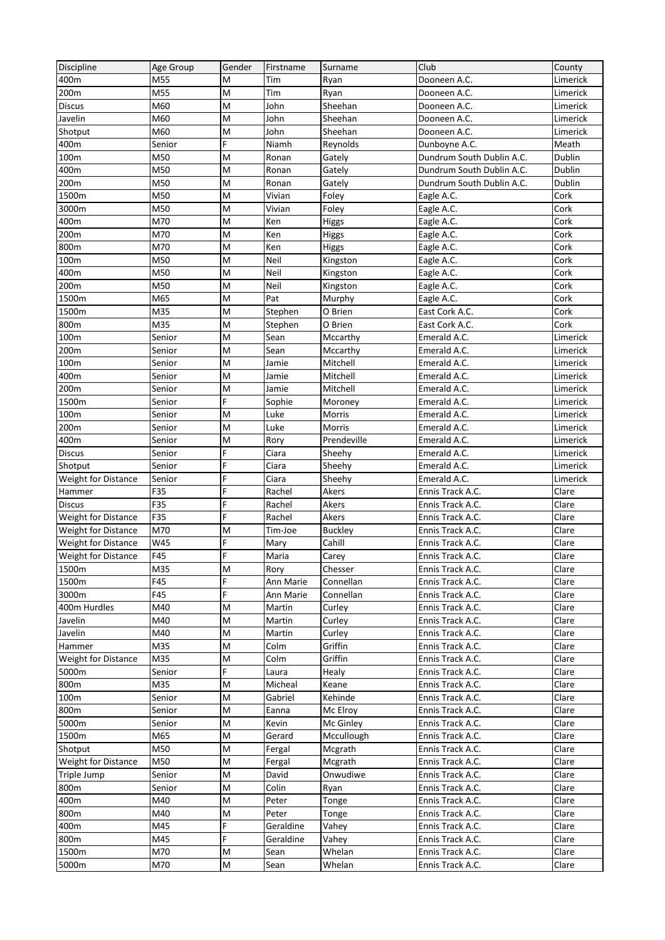| Discipline                 | Age Group | Gender | Firstname        | Surname                  | Club                      | County               |
|----------------------------|-----------|--------|------------------|--------------------------|---------------------------|----------------------|
| 400m                       | M55       | M      | Tim              | Ryan                     | Dooneen A.C.              | Limerick             |
| 200m                       | M55       | M      | Tim              | Ryan                     | Dooneen A.C.              | Limerick             |
| Discus                     | M60       | M      | John             | Sheehan                  | Dooneen A.C.              | Limerick             |
| Javelin                    | M60       | M      | John             | Sheehan                  | Dooneen A.C.              | Limerick             |
| Shotput                    | M60       | M      | John             | Sheehan                  | Dooneen A.C.              | Limerick             |
| 400m                       | Senior    | F      | Niamh            | Reynolds                 | Dunboyne A.C.             | Meath                |
| 100m                       | M50       | M      | Ronan            | Gately                   | Dundrum South Dublin A.C. | Dublin               |
| 400m                       | M50       | M      | Ronan            | Gately                   | Dundrum South Dublin A.C. | Dublin               |
| 200m                       | M50       | M      | Ronan            | Gately                   | Dundrum South Dublin A.C. | <b>Dublin</b>        |
| 1500m                      | M50       | M      | Vivian           | Foley                    | Eagle A.C.                | Cork                 |
| 3000m                      | M50       | M      | Vivian           | Foley                    | Eagle A.C.                | Cork                 |
| 400m                       | M70       | M      | Ken              | Higgs                    | Eagle A.C.                | Cork                 |
| 200m                       | M70       | M      | Ken              | Higgs                    | Eagle A.C.                | Cork                 |
| 800m                       | M70       | M      | Ken              | Higgs                    | Eagle A.C.                | Cork                 |
| 100m                       | M50       | M      | Neil             | Kingston                 | Eagle A.C.                | Cork                 |
| 400m                       | M50       | M      | Neil             | Kingston                 | Eagle A.C.                | Cork                 |
| 200m                       | M50       | M      | Neil             | Kingston                 | Eagle A.C.                | Cork                 |
| 1500m                      | M65       | M      | Pat              | Murphy                   | Eagle A.C.                | Cork                 |
| 1500m                      | M35       | M      | Stephen          | O Brien                  | East Cork A.C.            | Cork                 |
| 800m                       | M35       | M      | Stephen          | O Brien                  | East Cork A.C.            | Cork                 |
| 100m                       | Senior    | M      | Sean             | Mccarthy                 | Emerald A.C.              | Limerick             |
| 200m                       | Senior    | M      | Sean             | Mccarthy                 | Emerald A.C.              | Limerick             |
| 100m                       | Senior    | M      | Jamie            | Mitchell                 | Emerald A.C.              | Limerick             |
| 400m                       | Senior    | M      | Jamie            | Mitchell                 | Emerald A.C.              | Limerick             |
| 200m                       | Senior    | M      | Jamie            | Mitchell                 | Emerald A.C.              | Limerick             |
| 1500m                      | Senior    | F      | Sophie           | Moroney                  | Emerald A.C.              | Limerick             |
| 100m                       | Senior    | M      | Luke             | Morris                   | Emerald A.C.              | Limerick             |
| 200m                       | Senior    | M      | Luke             | Morris                   | Emerald A.C.              | Limerick             |
| 400m                       | Senior    | M      | Rory             | Prendeville              | Emerald A.C.              | Limerick             |
| <b>Discus</b>              | Senior    | F      | Ciara            | Sheehy                   | Emerald A.C.              | Limerick             |
| Shotput                    | Senior    | Ë      | Ciara            | Sheehy                   | Emerald A.C.              |                      |
|                            | Senior    | F      | Ciara            | Sheehy                   | Emerald A.C.              | Limerick<br>Limerick |
| Weight for Distance        | F35       | F      |                  | Akers                    | Ennis Track A.C.          |                      |
| Hammer<br><b>Discus</b>    | F35       | Ë      | Rachel<br>Rachel | Akers                    | Ennis Track A.C.          | Clare<br>Clare       |
|                            |           | F      |                  |                          |                           |                      |
| Weight for Distance        | F35       |        | Rachel           | Akers                    | Ennis Track A.C.          | Clare                |
| <b>Weight for Distance</b> | M70       | M      | Tim-Joe          | <b>Buckley</b><br>Cahill | Ennis Track A.C.          | Clare                |
| <b>Weight for Distance</b> | W45       | F<br>F | Mary             |                          | Ennis Track A.C.          | Clare                |
| <b>Weight for Distance</b> | F45       |        | Maria            | Carey                    | Ennis Track A.C.          | Clare                |
| 1500m                      | M35       | M      | Rory             | Chesser                  | Ennis Track A.C.          | Clare                |
| 1500m                      | F45       | F      | Ann Marie        | Connellan                | Ennis Track A.C.          | Clare                |
| 3000m                      | F45       | F      | Ann Marie        | Connellan                | Ennis Track A.C.          | Clare                |
| 400m Hurdles               | M40       | M      | Martin           | Curley                   | Ennis Track A.C.          | Clare                |
| Javelin                    | M40       | M      | Martin           | Curley                   | Ennis Track A.C.          | Clare                |
| Javelin                    | M40       | M      | Martin           | Curley                   | Ennis Track A.C.          | Clare                |
| Hammer                     | M35       | M      | Colm             | Griffin                  | Ennis Track A.C.          | Clare                |
| Weight for Distance        | M35       | M      | Colm             | Griffin                  | Ennis Track A.C.          | Clare                |
| 5000m                      | Senior    | F      | Laura            | Healy                    | Ennis Track A.C.          | Clare                |
| 800m                       | M35       | M      | Micheal          | Keane                    | Ennis Track A.C.          | Clare                |
| 100m                       | Senior    | M      | Gabriel          | Kehinde                  | Ennis Track A.C.          | Clare                |
| 800m                       | Senior    | M      | Eanna            | Mc Elroy                 | Ennis Track A.C.          | Clare                |
| 5000m                      | Senior    | M      | Kevin            | Mc Ginley                | Ennis Track A.C.          | Clare                |
| 1500m                      | M65       | M      | Gerard           | Mccullough               | Ennis Track A.C.          | Clare                |
| Shotput                    | M50       | M      | Fergal           | Mcgrath                  | Ennis Track A.C.          | Clare                |
| Weight for Distance        | M50       | M      | Fergal           | Mcgrath                  | Ennis Track A.C.          | Clare                |
| Triple Jump                | Senior    | M      | David            | Onwudiwe                 | Ennis Track A.C.          | Clare                |
| 800m                       | Senior    | M      | Colin            | Ryan                     | Ennis Track A.C.          | Clare                |
| 400m                       | M40       | M      | Peter            | Tonge                    | Ennis Track A.C.          | Clare                |
| 800m                       | M40       | M      | Peter            | Tonge                    | Ennis Track A.C.          | Clare                |
| 400m                       | M45       | F      | Geraldine        | Vahey                    | Ennis Track A.C.          | Clare                |
| 800m                       | M45       | F      | Geraldine        | Vahey                    | Ennis Track A.C.          | Clare                |
| 1500m                      | M70       | M      | Sean             | Whelan                   | Ennis Track A.C.          | Clare                |
| 5000m                      | M70       | M      | Sean             | Whelan                   | Ennis Track A.C.          | Clare                |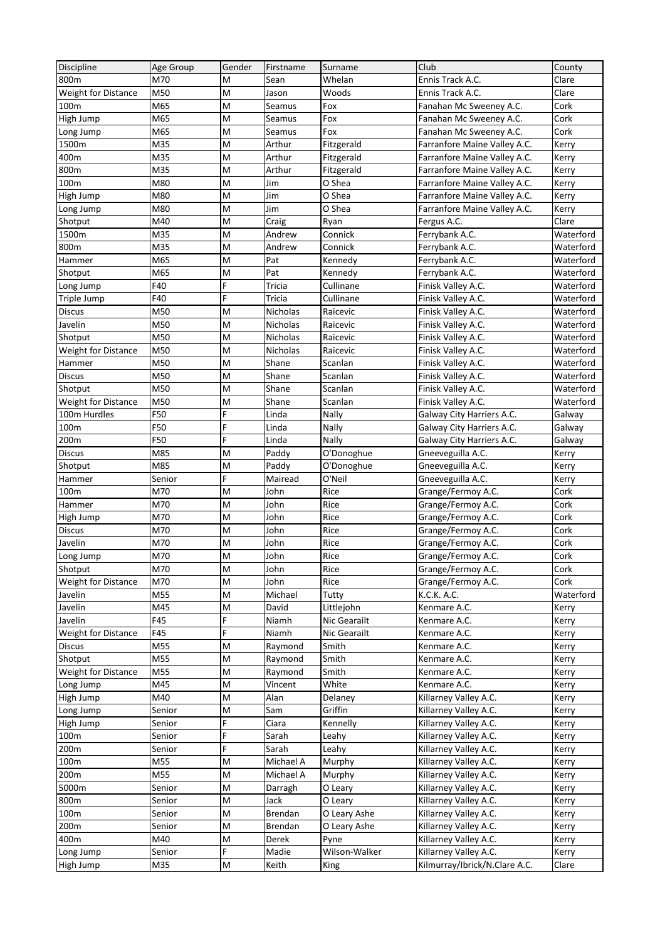| Discipline                          | Age Group     | Gender  | Firstname     | Surname              | Club                                     | County         |
|-------------------------------------|---------------|---------|---------------|----------------------|------------------------------------------|----------------|
| 800m                                | M70           | Μ       | Sean          | Whelan               | Ennis Track A.C.                         | Clare          |
| Weight for Distance                 | M50           | M       | Jason         | Woods                | Ennis Track A.C.                         | Clare          |
| 100m                                | M65           | M       | Seamus        | Fox                  | Fanahan Mc Sweeney A.C.                  | Cork           |
| High Jump                           | M65           | M       | Seamus        | Fox                  | Fanahan Mc Sweeney A.C.                  | Cork           |
| Long Jump                           | M65           | M       | Seamus        | Fox                  | Fanahan Mc Sweeney A.C.                  | Cork           |
| 1500m                               | M35           | M       | Arthur        | Fitzgerald           | Farranfore Maine Valley A.C.             | Kerry          |
| 400m                                | M35           | M       | Arthur        | Fitzgerald           | Farranfore Maine Valley A.C.             | Kerry          |
| 800m                                | M35           | M       | Arthur        | Fitzgerald           | Farranfore Maine Valley A.C.             | Kerry          |
| 100m                                | M80           | M       | Jim           | O Shea               | Farranfore Maine Valley A.C.             | Kerry          |
| High Jump                           | M80           | M       | Jim           | O Shea               | Farranfore Maine Valley A.C.             | Kerry          |
| Long Jump                           | M80           | M       | Jim           | O Shea               | Farranfore Maine Valley A.C.             | Kerry          |
| Shotput                             | M40           | M       | Craig         | Ryan                 | Fergus A.C.                              | Clare          |
| 1500m                               | M35           | M       | Andrew        | Connick              | Ferrybank A.C.                           | Waterford      |
| 800m                                | M35           | M       | Andrew        | Connick              | Ferrybank A.C.                           | Waterford      |
| Hammer                              | M65           | M       | Pat           | Kennedy              | Ferrybank A.C.                           | Waterford      |
| Shotput                             | M65           | M       | Pat           | Kennedy              | Ferrybank A.C.                           | Waterford      |
| Long Jump                           | F40           | F       | <b>Tricia</b> | Cullinane            | Finisk Valley A.C.                       | Waterford      |
| Triple Jump                         | F40           | F       | Tricia        | Cullinane            | Finisk Valley A.C.                       | Waterford      |
| <b>Discus</b>                       | M50           | M       | Nicholas      | Raicevic             | Finisk Valley A.C.                       | Waterford      |
| Javelin                             | M50           | M       | Nicholas      | Raicevic             | Finisk Valley A.C.                       | Waterford      |
| Shotput                             | M50           | M       | Nicholas      | Raicevic             | Finisk Valley A.C.                       | Waterford      |
| <b>Weight for Distance</b>          | M50           | M       | Nicholas      | Raicevic             | Finisk Valley A.C.                       | Waterford      |
| Hammer                              | M50           | M       | Shane         | Scanlan              | Finisk Valley A.C.                       | Waterford      |
| <b>Discus</b>                       | M50           | M       | Shane         | Scanlan              | Finisk Valley A.C.                       | Waterford      |
| Shotput                             | M50           | M       | Shane         | Scanlan              | Finisk Valley A.C.                       | Waterford      |
|                                     | M50           | M       | Shane         |                      | Finisk Valley A.C.                       | Waterford      |
| Weight for Distance<br>100m Hurdles | F50           | F       | Linda         | Scanlan<br>Nally     | Galway City Harriers A.C.                | Galway         |
| 100m                                | F50           | F       | Linda         | Nally                | Galway City Harriers A.C.                |                |
| 200m                                | F50           | Ë       | Linda         | Nally                |                                          | Galway         |
| <b>Discus</b>                       | M85           | M       | Paddy         | O'Donoghue           | Galway City Harriers A.C.                | Galway         |
|                                     | M85           | M       | Paddy         |                      | Gneeveguilla A.C.                        | Kerry          |
| Shotput<br>Hammer                   |               | F       | Mairead       | O'Donoghue<br>O'Neil | Gneeveguilla A.C.<br>Gneeveguilla A.C.   | Kerry<br>Kerry |
| 100m                                | Senior<br>M70 | M       | John          | Rice                 | Grange/Fermoy A.C.                       | Cork           |
| Hammer                              | M70           | M       | John          | Rice                 |                                          | Cork           |
|                                     | M70           | M       | John          | Rice                 | Grange/Fermoy A.C.                       | Cork           |
| High Jump<br><b>Discus</b>          | M70           | M       | John          | Rice                 | Grange/Fermoy A.C.<br>Grange/Fermoy A.C. | Cork           |
| Javelin                             | M70           | M       | John          | Rice                 | Grange/Fermoy A.C.                       | Cork           |
| Long Jump                           | M70           | M       |               | Rice                 | Grange/Fermoy A.C.                       | Cork           |
| Shotput                             | M70           | M       | John<br>John  | Rice                 | Grange/Fermoy A.C.                       | Cork           |
| Weight for Distance                 | M70           | M       | John          | Rice                 | Grange/Fermoy A.C.                       | Cork           |
|                                     | M55           |         |               |                      |                                          |                |
| Javelin                             |               | M       | Michael       | Tutty                | K.C.K. A.C.                              | Waterford      |
| Javelin<br>Javelin                  | M45<br>F45    | M<br>F  | David         | Littlejohn           | Kenmare A.C.                             | Kerry          |
|                                     |               | F       | Niamh         | Nic Gearailt         | Kenmare A.C.                             | Kerry          |
| <b>Weight for Distance</b>          | F45           |         | Niamh         | Nic Gearailt         | Kenmare A.C.                             | Kerry          |
| <b>Discus</b>                       | M55           | M       | Raymond       | Smith                | Kenmare A.C.                             | Kerry          |
| Shotput                             | M55           | M       | Raymond       | Smith                | Kenmare A.C.                             | Kerry          |
| <b>Weight for Distance</b>          | M55           | M       | Raymond       | Smith                | Kenmare A.C.                             | Kerry          |
| Long Jump                           | M45           | M       | Vincent       | White                | Kenmare A.C.                             | Kerry          |
| High Jump                           | M40           | M       | Alan          | Delaney              | Killarney Valley A.C.                    | Kerry          |
| Long Jump                           | Senior        | M       | Sam           | Griffin              | Killarney Valley A.C.                    | Kerry          |
| High Jump                           | Senior        | F       | Ciara         | Kennelly             | Killarney Valley A.C.                    | Kerry          |
| 100m                                | Senior        | F       | Sarah         | Leahy                | Killarney Valley A.C.                    | Kerry          |
| 200m                                | Senior        | F       | Sarah         | Leahy                | Killarney Valley A.C.                    | Kerry          |
| 100m                                | M55           | M       | Michael A     | Murphy               | Killarney Valley A.C.                    | Kerry          |
| 200m                                | M55           | M       | Michael A     | Murphy               | Killarney Valley A.C.                    | Kerry          |
| 5000m                               | Senior        | M       | Darragh       | O Leary              | Killarney Valley A.C.                    | Kerry          |
| 800m                                | Senior        | M       | Jack          | O Leary              | Killarney Valley A.C.                    | Kerry          |
| 100m                                | Senior        | M       | Brendan       | O Leary Ashe         | Killarney Valley A.C.                    | Kerry          |
| 200m                                | Senior        | M       | Brendan       | O Leary Ashe         | Killarney Valley A.C.                    | Kerry          |
| 400m                                | M40           | M       | Derek         | Pyne                 | Killarney Valley A.C.                    | Kerry          |
| Long Jump                           | Senior        | F       | Madie         | Wilson-Walker        | Killarney Valley A.C.                    | Kerry          |
| High Jump                           | M35           | $\sf M$ | Keith         | King                 | Kilmurray/Ibrick/N.Clare A.C.            | Clare          |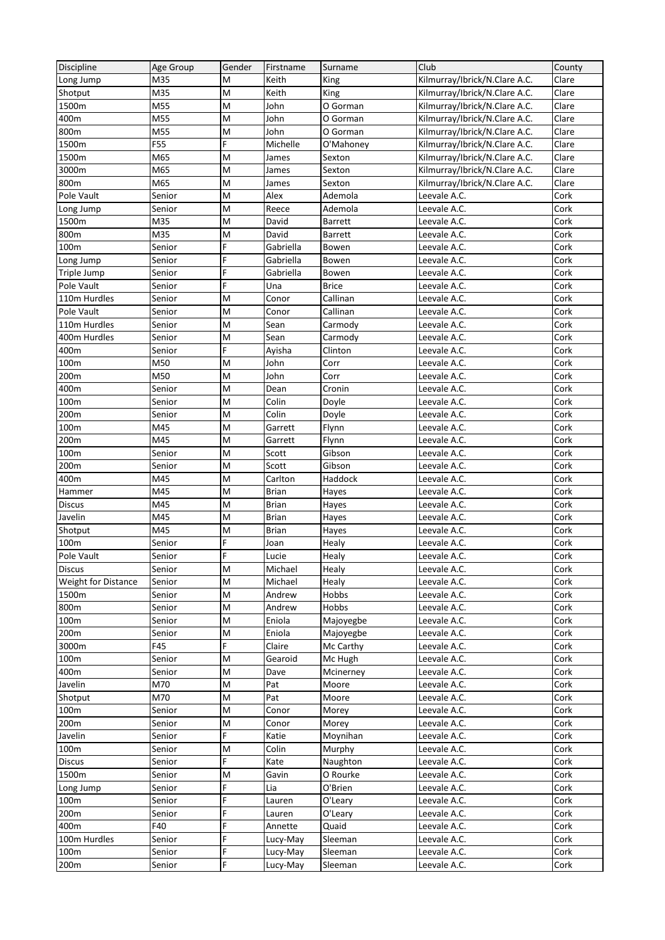| Discipline          | Age Group     | Gender | Firstname         | Surname              | Club                          | County       |
|---------------------|---------------|--------|-------------------|----------------------|-------------------------------|--------------|
| Long Jump           | M35           | м      | Keith             | King                 | Kilmurray/Ibrick/N.Clare A.C. | Clare        |
| Shotput             | M35           | M      | Keith             | King                 | Kilmurray/Ibrick/N.Clare A.C. | Clare        |
| 1500m               | M55           | M      | John              | O Gorman             | Kilmurray/Ibrick/N.Clare A.C. | Clare        |
| 400m                | M55           | M      | John              | O Gorman             | Kilmurray/Ibrick/N.Clare A.C. | Clare        |
| 800m                | M55           | M      | John              | O Gorman             | Kilmurray/Ibrick/N.Clare A.C. | Clare        |
| 1500m               | F55           | F      | Michelle          | O'Mahoney            | Kilmurray/Ibrick/N.Clare A.C. | Clare        |
| 1500m               | M65           | M      | James             | Sexton               | Kilmurray/Ibrick/N.Clare A.C. | Clare        |
| 3000m               | M65           | M      | James             | Sexton               | Kilmurray/Ibrick/N.Clare A.C. | Clare        |
| 800m                | M65           | M      | James             | Sexton               | Kilmurray/Ibrick/N.Clare A.C. | Clare        |
| Pole Vault          | Senior        | M      | Alex              | Ademola              | Leevale A.C.                  | Cork         |
| Long Jump           | Senior        | M      | Reece             | Ademola              | Leevale A.C.                  | Cork         |
| 1500m               | M35           | M      | David             | Barrett              | Leevale A.C.                  | Cork         |
| 800m                | M35           | M      | David             | <b>Barrett</b>       | Leevale A.C.                  | Cork         |
| 100m                | Senior        | F      | Gabriella         | Bowen                | Leevale A.C.                  | Cork         |
| Long Jump           | Senior        | Ë      | Gabriella         | Bowen                | Leevale A.C.                  | Cork         |
| Triple Jump         | Senior        | F      | Gabriella         | Bowen                | Leevale A.C.                  | Cork         |
| Pole Vault          | Senior        | F      | Una               | <b>Brice</b>         | Leevale A.C.                  | Cork         |
| 110m Hurdles        | Senior        | M      | Conor             | Callinan             | Leevale A.C.                  | Cork         |
| Pole Vault          | Senior        | M      | Conor             | Callinan             | Leevale A.C.                  | Cork         |
| 110m Hurdles        | Senior        | M      | Sean              | Carmody              | Leevale A.C.                  | Cork         |
| 400m Hurdles        | Senior        | M      | Sean              | Carmody              | Leevale A.C.                  | Cork         |
| 400m                | Senior        | F      | Ayisha            | Clinton              | Leevale A.C.                  | Cork         |
| 100m                | M50           | M      | John              | Corr                 | Leevale A.C.                  | Cork         |
| 200m                | M50           | M      | John              | Corr                 | Leevale A.C.                  | Cork         |
| 400m                | Senior        | M      | Dean              | Cronin               | Leevale A.C.                  | Cork         |
| 100m                | Senior        | M      | Colin             | Doyle                | Leevale A.C.                  | Cork         |
| 200m                | Senior        | M      | Colin             | Doyle                | Leevale A.C.                  | Cork         |
| 100m                | M45           | M      | Garrett           | Flynn                | Leevale A.C.                  | Cork         |
| 200m                | M45           | M      | Garrett           | Flynn                | Leevale A.C.                  | Cork         |
| 100m                | Senior        | M      | Scott             | Gibson               | Leevale A.C.                  | Cork         |
| 200m                | Senior        | M      | Scott             | Gibson               | Leevale A.C.                  | Cork         |
| 400m                | M45           | M      | Carlton           | Haddock              | Leevale A.C.                  | Cork         |
| Hammer              | M45           | M      | <b>Brian</b>      | Hayes                | Leevale A.C.                  | Cork         |
| <b>Discus</b>       | M45           | M      | Brian             | Hayes                | Leevale A.C.                  | Cork         |
| Javelin             | M45           | M      | <b>Brian</b>      | Hayes                | Leevale A.C.                  | Cork         |
| Shotput             | M45           | M      | Brian             | Hayes                | Leevale A.C.                  | Cork         |
| 100 <sub>m</sub>    | Senior        | F      | Joan              | Healy                | Leevale A.C.                  | Cork         |
| Pole Vault          | Senior        | F      | Lucie             | Healy                | Leevale A.C.                  | Cork         |
| <b>Discus</b>       | Senior        | M      | Michael           | Healy                | Leevale A.C.                  | Cork         |
| Weight for Distance | Senior        | M      | Michael           | Healy                | Leevale A.C.                  | Cork         |
| 1500m               | Senior        | M      | Andrew            | Hobbs                | Leevale A.C.                  | Cork         |
| 800m                | Senior        | M      | Andrew            | Hobbs                | Leevale A.C.                  | Cork         |
| 100m                |               | M      | Eniola            | Majoyegbe            |                               | Cork         |
| 200m                | Senior        | M      | Eniola            |                      | Leevale A.C.<br>Leevale A.C.  | Cork         |
| 3000m               | Senior<br>F45 | F      |                   | Majoyegbe            | Leevale A.C.                  |              |
| 100m                | Senior        | M      | Claire<br>Gearoid | Mc Carthy<br>Mc Hugh | Leevale A.C.                  | Cork<br>Cork |
| 400m                | Senior        | M      | Dave              | Mcinerney            | Leevale A.C.                  | Cork         |
| Javelin             | M70           | M      | Pat               | Moore                | Leevale A.C.                  | Cork         |
| Shotput             | M70           | M      | Pat               | Moore                | Leevale A.C.                  | Cork         |
| 100m                |               | M      | Conor             |                      |                               | Cork         |
|                     | Senior        |        |                   | Morey                | Leevale A.C.                  |              |
| 200m                | Senior        | M<br>F | Conor             | Morey                | Leevale A.C.                  | Cork         |
| Javelin             | Senior        |        | Katie             | Moynihan             | Leevale A.C.                  | Cork         |
| 100m                | Senior        | M      | Colin             | Murphy               | Leevale A.C.                  | Cork         |
| <b>Discus</b>       | Senior        | F      | Kate              | Naughton             | Leevale A.C.                  | Cork         |
| 1500m               | Senior        | M      | Gavin             | O Rourke             | Leevale A.C.                  | Cork         |
| Long Jump           | Senior        | F      | Lia               | O'Brien              | Leevale A.C.                  | Cork         |
| 100m                | Senior        | F      | Lauren            | O'Leary              | Leevale A.C.                  | Cork         |
| 200m                | Senior        | F      | Lauren            | O'Leary              | Leevale A.C.                  | Cork         |
| 400m                | F40           | F      | Annette           | Quaid                | Leevale A.C.                  | Cork         |
| 100m Hurdles        | Senior        | F      | Lucy-May          | Sleeman              | Leevale A.C.                  | Cork         |
| 100 <sub>m</sub>    | Senior        | F      | Lucy-May          | Sleeman              | Leevale A.C.                  | Cork         |
| 200m                | Senior        | F      | Lucy-May          | Sleeman              | Leevale A.C.                  | Cork         |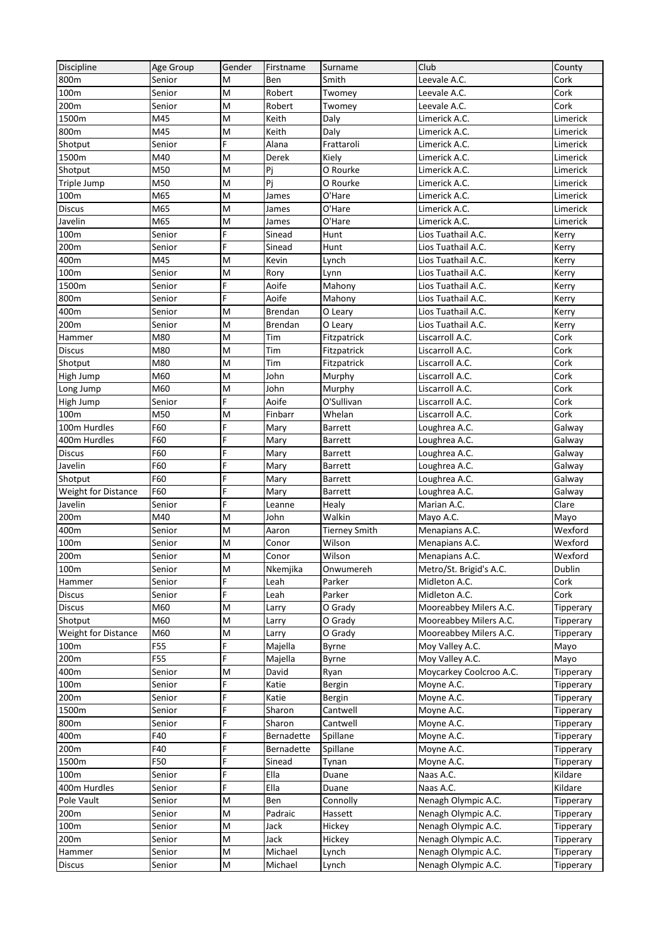| <b>Discipline</b>              | Age Group  | Gender | Firstname      | Surname                 | Club                           | County           |
|--------------------------------|------------|--------|----------------|-------------------------|--------------------------------|------------------|
| 800m                           | Senior     | M      | Ben            | Smith                   | Leevale A.C.                   | Cork             |
| 100m                           | Senior     | M      | Robert         | Twomey                  | Leevale A.C.                   | Cork             |
| 200m                           | Senior     | M      | Robert         | Twomey                  | Leevale A.C.                   | Cork             |
| 1500m                          | M45        | M      | Keith          | Daly                    | Limerick A.C.                  | Limerick         |
| 800m                           | M45        | M      | Keith          | Daly                    | Limerick A.C.                  | Limerick         |
| Shotput                        | Senior     | F      | Alana          | Frattaroli              | Limerick A.C.                  | Limerick         |
| 1500m                          | M40        | M      | Derek          | Kiely                   | Limerick A.C.                  | Limerick         |
| Shotput                        | M50        | M      | Pj             | O Rourke                | Limerick A.C.                  | Limerick         |
| Triple Jump                    | M50        | M      | Pj             | O Rourke                | Limerick A.C.                  | Limerick         |
| 100m                           | M65        | M      | James          | O'Hare                  | Limerick A.C.                  | Limerick         |
| <b>Discus</b>                  | M65        | M      | James          | O'Hare                  | Limerick A.C.                  | Limerick         |
| Javelin                        | M65        | M      | James          | O'Hare                  | Limerick A.C.                  | Limerick         |
| 100m                           | Senior     | F      | Sinead         | Hunt                    | Lios Tuathail A.C.             | Kerry            |
| 200m                           | Senior     | F      | Sinead         | Hunt                    | Lios Tuathail A.C.             | Kerry            |
| 400m                           | M45        | M      | Kevin          | Lynch                   | Lios Tuathail A.C.             | Kerry            |
| 100m                           | Senior     | M      | Rory           | Lynn                    | Lios Tuathail A.C.             | Kerry            |
| 1500m                          | Senior     | F      | Aoife          | Mahony                  | Lios Tuathail A.C.             | Kerry            |
| 800m                           | Senior     | F      | Aoife          | Mahony                  | Lios Tuathail A.C.             | Kerry            |
| 400m                           | Senior     | M      | Brendan        | O Leary                 | Lios Tuathail A.C.             | Kerry            |
| 200m                           | Senior     | M      | Brendan        | O Leary                 | Lios Tuathail A.C.             | Kerry            |
| Hammer                         | M80        | M      | Tim            | Fitzpatrick             | Liscarroll A.C.                | Cork             |
| <b>Discus</b>                  | M80        | M      | Tim            | Fitzpatrick             | Liscarroll A.C.                | Cork             |
| Shotput                        | M80        | M      | Tim            | Fitzpatrick             | Liscarroll A.C.                | Cork             |
| High Jump                      | M60        | M      | John           | Murphy                  | Liscarroll A.C.                | Cork             |
|                                | M60        | M      | John           |                         | Liscarroll A.C.                | Cork             |
| Long Jump                      | Senior     | F      | Aoife          | Murphy<br>O'Sullivan    | Liscarroll A.C.                | Cork             |
| High Jump<br>100m              | M50        | M      | Finbarr        | Whelan                  | Liscarroll A.C.                | Cork             |
| 100m Hurdles                   | F60        | Ë      | Mary           | Barrett                 |                                |                  |
| 400m Hurdles                   | F60        | F      | Mary           | Barrett                 | Loughrea A.C.                  | Galway           |
| <b>Discus</b>                  | F60        | F      | Mary           | Barrett                 | Loughrea A.C.<br>Loughrea A.C. | Galway<br>Galway |
|                                | F60        | F      | Mary           |                         |                                |                  |
| Javelin                        | F60        | F      |                | Barrett                 | Loughrea A.C.                  | Galway           |
| Shotput                        | F60        | F      | Mary           | Barrett                 | Loughrea A.C.                  | Galway<br>Galway |
| Weight for Distance<br>Javelin | Senior     | F      | Mary<br>Leanne | <b>Barrett</b><br>Healy | Loughrea A.C.<br>Marian A.C.   | Clare            |
|                                |            |        |                | Walkin                  |                                |                  |
| 200m<br>400m                   | M40        | M      | John<br>Aaron  |                         | Mayo A.C.<br>Menapians A.C.    | Mayo<br>Wexford  |
|                                | Senior     | M      |                | <b>Tierney Smith</b>    |                                |                  |
| 100m                           | Senior     | M<br>M | Conor          | Wilson<br>Wilson        | Menapians A.C.                 | Wexford          |
| 200 <sub>m</sub>               | Senior     |        | Conor          |                         | Menapians A.C.                 | Wexford          |
| 100m                           | Senior     | M      | Nkemjika       | Onwumereh               | Metro/St. Brigid's A.C.        | Dublin           |
| Hammer                         | Senior     | F<br>F | Leah           | Parker                  | Midleton A.C.                  | Cork             |
| Discus                         | Senior     |        | Leah           | Parker                  | Midleton A.C.                  | Cork             |
| <b>Discus</b>                  | M60        | M      | Larry          | O Grady                 | Mooreabbey Milers A.C.         | Tipperary        |
| Shotput                        | M60        | M      | Larry          | O Grady                 | Mooreabbey Milers A.C.         | Tipperary        |
| Weight for Distance            | M60        | M      | Larry          | O Grady                 | Mooreabbey Milers A.C.         | Tipperary        |
| 100m                           | <b>F55</b> | F      | Majella        | <b>Byrne</b>            | Moy Valley A.C.                | Mayo             |
| 200m                           | <b>F55</b> | F      | Majella        | Byrne                   | Moy Valley A.C.                | Mayo             |
| 400m                           | Senior     | M      | David          | Ryan                    | Moycarkey Coolcroo A.C.        | Tipperary        |
| 100m                           | Senior     | F      | Katie          | Bergin                  | Moyne A.C.                     | Tipperary        |
| 200m                           | Senior     | F      | Katie          | Bergin                  | Moyne A.C.                     | Tipperary        |
| 1500m                          | Senior     | F      | Sharon         | Cantwell                | Moyne A.C.                     | Tipperary        |
| 800m                           | Senior     | F      | Sharon         | Cantwell                | Moyne A.C.                     | Tipperary        |
| 400m                           | F40        | F      | Bernadette     | Spillane                | Moyne A.C.                     | Tipperary        |
| 200m                           | F40        | Ë      | Bernadette     | Spillane                | Moyne A.C.                     | Tipperary        |
| 1500m                          | F50        | F      | Sinead         | Tynan                   | Moyne A.C.                     | Tipperary        |
| 100m                           | Senior     | F      | Ella           | Duane                   | Naas A.C.                      | Kildare          |
| 400m Hurdles                   | Senior     | F      | Ella           | Duane                   | Naas A.C.                      | Kildare          |
| Pole Vault                     | Senior     | M      | Ben            | Connolly                | Nenagh Olympic A.C.            | Tipperary        |
| 200m                           | Senior     | M      | Padraic        | Hassett                 | Nenagh Olympic A.C.            | Tipperary        |
| 100m                           | Senior     | M      | Jack           | Hickey                  | Nenagh Olympic A.C.            | Tipperary        |
| 200m                           | Senior     | M      | Jack           | Hickey                  | Nenagh Olympic A.C.            | Tipperary        |
| Hammer                         | Senior     | M      | Michael        | Lynch                   | Nenagh Olympic A.C.            | Tipperary        |
| <b>Discus</b>                  | Senior     | M      | Michael        | Lynch                   | Nenagh Olympic A.C.            | Tipperary        |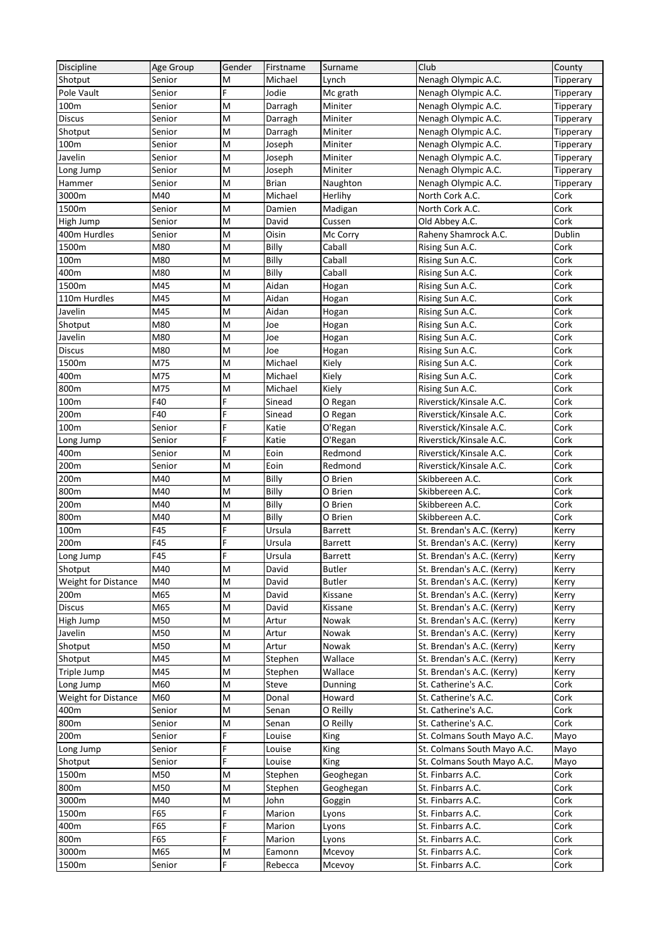| Discipline                 | Age Group  | Gender | Firstname      | Surname          | Club                        | County    |
|----------------------------|------------|--------|----------------|------------------|-----------------------------|-----------|
| Shotput                    | Senior     | M      | Michael        | Lynch            | Nenagh Olympic A.C.         | Tipperary |
| Pole Vault                 | Senior     | F      | Jodie          | Mc grath         | Nenagh Olympic A.C.         | Tipperary |
| 100m                       | Senior     | M      | Darragh        | Miniter          | Nenagh Olympic A.C.         | Tipperary |
| <b>Discus</b>              | Senior     | M      | Darragh        | Miniter          | Nenagh Olympic A.C.         | Tipperary |
| Shotput                    | Senior     | M      | Darragh        | Miniter          | Nenagh Olympic A.C.         | Tipperary |
| 100m                       | Senior     | M      | Joseph         | Miniter          | Nenagh Olympic A.C.         | Tipperary |
| Javelin                    | Senior     | M      | Joseph         | Miniter          | Nenagh Olympic A.C.         | Tipperary |
| Long Jump                  | Senior     | M      | Joseph         | Miniter          | Nenagh Olympic A.C.         | Tipperary |
| Hammer                     | Senior     | M      | <b>Brian</b>   | Naughton         | Nenagh Olympic A.C.         | Tipperary |
| 3000m                      | M40        | M      | Michael        | Herlihy          | North Cork A.C.             | Cork      |
| 1500m                      | Senior     | M      | Damien         | Madigan          | North Cork A.C.             | Cork      |
| High Jump                  | Senior     | M      | David          | Cussen           | Old Abbey A.C.              | Cork      |
| 400m Hurdles               | Senior     | M      | Oisin          | Mc Corry         | Raheny Shamrock A.C.        | Dublin    |
| 1500m                      | M80        | M      | Billy          | Caball           | Rising Sun A.C.             | Cork      |
| 100m                       | M80        | M      | Billy          | Caball           | Rising Sun A.C.             | Cork      |
|                            |            |        |                |                  |                             |           |
| 400m                       | M80        | M      | Billy<br>Aidan | Caball           | Rising Sun A.C.             | Cork      |
| 1500m                      | M45        | M      |                | Hogan            | Rising Sun A.C.             | Cork      |
| 110m Hurdles               | M45        | M      | Aidan          | Hogan            | Rising Sun A.C.             | Cork      |
| Javelin                    | M45        | M      | Aidan          | Hogan            | Rising Sun A.C.             | Cork      |
| Shotput                    | M80        | M      | Joe            | Hogan            | Rising Sun A.C.             | Cork      |
| Javelin                    | M80        | M      | Joe            | Hogan            | Rising Sun A.C.             | Cork      |
| <b>Discus</b>              | M80        | M      | Joe            | Hogan            | Rising Sun A.C.             | Cork      |
| 1500m                      | M75        | M      | Michael        | Kiely            | Rising Sun A.C.             | Cork      |
| 400m                       | M75        | M      | Michael        | Kiely            | Rising Sun A.C.             | Cork      |
| 800m                       | M75        | M      | Michael        | Kiely            | Rising Sun A.C.             | Cork      |
| 100m                       | F40        | F      | Sinead         | O Regan          | Riverstick/Kinsale A.C.     | Cork      |
| 200m                       | F40        | F      | Sinead         | O Regan          | Riverstick/Kinsale A.C.     | Cork      |
| 100m                       | Senior     | Ë      | Katie          | O'Regan          | Riverstick/Kinsale A.C.     | Cork      |
| Long Jump                  | Senior     | Ë      | Katie          | O'Regan          | Riverstick/Kinsale A.C.     | Cork      |
| 400m                       | Senior     | M      | Eoin           | Redmond          | Riverstick/Kinsale A.C.     | Cork      |
| 200m                       | Senior     | M      | Eoin           | Redmond          | Riverstick/Kinsale A.C.     | Cork      |
| 200m                       | M40        | M      | Billy          | O Brien          | Skibbereen A.C.             | Cork      |
| 800m                       | M40        | M      | Billy          | O Brien          | Skibbereen A.C.             | Cork      |
| 200m                       | M40        | M      | Billy          | O Brien          | Skibbereen A.C.             | Cork      |
| 800m                       | M40        | M      | Billy          | O Brien          | Skibbereen A.C.             | Cork      |
| 100m                       | F45        | Ë      | Ursula         | Barrett          | St. Brendan's A.C. (Kerry)  | Kerry     |
| 200m                       | F45        | F      | Ursula         | <b>Barrett</b>   | St. Brendan's A.C. (Kerry)  | Kerry     |
| Long Jump                  | F45        | F      | Ursula         | <b>Barrett</b>   | St. Brendan's A.C. (Kerry)  | Kerry     |
| Shotput                    | M40        | M      | David          | <b>Butler</b>    | St. Brendan's A.C. (Kerry)  | Kerry     |
| Weight for Distance        | M40        | M      | David          | <b>Butler</b>    | St. Brendan's A.C. (Kerry)  | Kerry     |
| 200m                       | M65        | M      | David          | Kissane          | St. Brendan's A.C. (Kerry)  | Kerry     |
| <b>Discus</b>              | M65        | M      | David          | Kissane          | St. Brendan's A.C. (Kerry)  | Kerry     |
|                            | M50        | M      | Artur          | Nowak            | St. Brendan's A.C. (Kerry)  |           |
| High Jump                  |            |        |                |                  |                             | Kerry     |
| Javelin                    | M50        | M      | Artur          | Nowak            | St. Brendan's A.C. (Kerry)  | Kerry     |
| Shotput                    | M50<br>M45 | M      | Artur          | Nowak<br>Wallace | St. Brendan's A.C. (Kerry)  | Kerry     |
| Shotput                    |            | M      | Stephen        |                  | St. Brendan's A.C. (Kerry)  | Kerry     |
| Triple Jump                | M45        | M      | Stephen        | Wallace          | St. Brendan's A.C. (Kerry)  | Kerry     |
| Long Jump                  | M60        | M      | Steve          | Dunning          | St. Catherine's A.C.        | Cork      |
| <b>Weight for Distance</b> | M60        | M      | Donal          | Howard           | St. Catherine's A.C.        | Cork      |
| 400m                       | Senior     | M      | Senan          | O Reilly         | St. Catherine's A.C.        | Cork      |
| 800m                       | Senior     | M      | Senan          | O Reilly         | St. Catherine's A.C.        | Cork      |
| 200m                       | Senior     | F      | Louise         | King             | St. Colmans South Mayo A.C. | Mayo      |
| Long Jump                  | Senior     | F      | Louise         | King             | St. Colmans South Mayo A.C. | Mayo      |
| Shotput                    | Senior     | F      | Louise         | King             | St. Colmans South Mayo A.C. | Mayo      |
| 1500m                      | M50        | M      | Stephen        | Geoghegan        | St. Finbarrs A.C.           | Cork      |
| 800m                       | M50        | M      | Stephen        | Geoghegan        | St. Finbarrs A.C.           | Cork      |
| 3000m                      | M40        | M      | John           | Goggin           | St. Finbarrs A.C.           | Cork      |
| 1500m                      | F65        | F      | Marion         | Lyons            | St. Finbarrs A.C.           | Cork      |
| 400m                       | F65        | F      | Marion         | Lyons            | St. Finbarrs A.C.           | Cork      |
| 800m                       | F65        | F      | Marion         | Lyons            | St. Finbarrs A.C.           | Cork      |
| 3000m                      | M65        | M      | Eamonn         | Mcevoy           | St. Finbarrs A.C.           | Cork      |
| 1500m                      | Senior     | F      | Rebecca        | Mcevoy           | St. Finbarrs A.C.           | Cork      |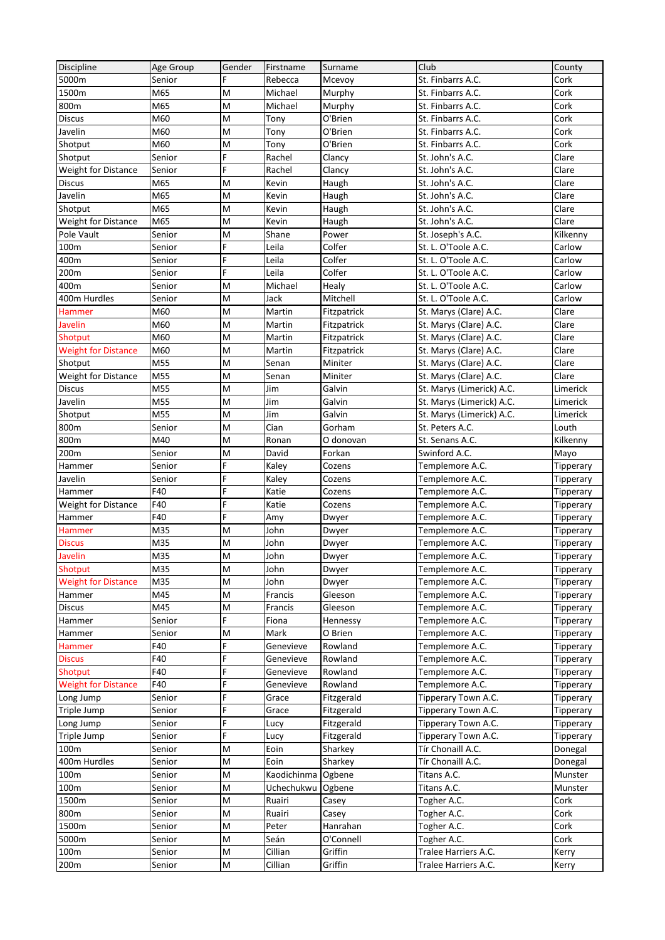| Discipline                 | Age Group | Gender | Firstname   | Surname           | Club                                          | County    |
|----------------------------|-----------|--------|-------------|-------------------|-----------------------------------------------|-----------|
| 5000m                      | Senior    | F      | Rebecca     | Mcevoy            | St. Finbarrs A.C.                             | Cork      |
| 1500m                      | M65       | M      | Michael     | Murphy            | St. Finbarrs A.C.                             | Cork      |
| 800m                       | M65       | M      | Michael     | Murphy            | St. Finbarrs A.C.                             | Cork      |
| <b>Discus</b>              | M60       | M      | Tony        | O'Brien           | St. Finbarrs A.C.                             | Cork      |
| Javelin                    | M60       | M      | Tony        | O'Brien           | St. Finbarrs A.C.                             | Cork      |
| Shotput                    | M60       | M      | Tony        | O'Brien           | St. Finbarrs A.C.                             | Cork      |
| Shotput                    | Senior    | F      | Rachel      | Clancy            | St. John's A.C.                               | Clare     |
| <b>Weight for Distance</b> | Senior    | F      | Rachel      | Clancy            | St. John's A.C.                               | Clare     |
| <b>Discus</b>              | M65       | M      | Kevin       | Haugh             | St. John's A.C.                               | Clare     |
| Javelin                    | M65       | M      | Kevin       | Haugh             | St. John's A.C.                               | Clare     |
| Shotput                    | M65       | M      | Kevin       | Haugh             | St. John's A.C.                               | Clare     |
| <b>Weight for Distance</b> | M65       | M      | Kevin       | Haugh             | St. John's A.C.                               | Clare     |
| Pole Vault                 | Senior    | M      | Shane       | Power             | St. Joseph's A.C.                             | Kilkenny  |
| 100m                       | Senior    | F      | Leila       | Colfer            | St. L. O'Toole A.C.                           | Carlow    |
| 400m                       | Senior    | F      | Leila       | Colfer            | St. L. O'Toole A.C.                           | Carlow    |
| 200m                       | Senior    | Ë      | Leila       | Colfer            | St. L. O'Toole A.C.                           | Carlow    |
| 400m                       | Senior    | M      | Michael     |                   | St. L. O'Toole A.C.                           | Carlow    |
|                            |           |        | Jack        | Healy<br>Mitchell |                                               | Carlow    |
| 400m Hurdles               | Senior    | M      |             |                   | St. L. O'Toole A.C.<br>St. Marys (Clare) A.C. |           |
| Hammer                     | M60       | M      | Martin      | Fitzpatrick       |                                               | Clare     |
| Javelin                    | M60       | M      | Martin      | Fitzpatrick       | St. Marys (Clare) A.C.                        | Clare     |
| Shotput                    | M60       | M      | Martin      | Fitzpatrick       | St. Marys (Clare) A.C.                        | Clare     |
| <b>Weight for Distance</b> | M60       | M      | Martin      | Fitzpatrick       | St. Marys (Clare) A.C.                        | Clare     |
| Shotput                    | M55       | M      | Senan       | Miniter           | St. Marys (Clare) A.C.                        | Clare     |
| <b>Weight for Distance</b> | M55       | M      | Senan       | Miniter           | St. Marys (Clare) A.C.                        | Clare     |
| <b>Discus</b>              | M55       | M      | Jim         | Galvin            | St. Marys (Limerick) A.C.                     | Limerick  |
| Javelin                    | M55       | M      | Jim         | Galvin            | St. Marys (Limerick) A.C.                     | Limerick  |
| Shotput                    | M55       | M      | Jim         | Galvin            | St. Marys (Limerick) A.C.                     | Limerick  |
| 800m                       | Senior    | M      | Cian        | Gorham            | St. Peters A.C.                               | Louth     |
| 800m                       | M40       | M      | Ronan       | O donovan         | St. Senans A.C.                               | Kilkenny  |
| 200m                       | Senior    | M      | David       | Forkan            | Swinford A.C.                                 | Mayo      |
| Hammer                     | Senior    | F      | Kaley       | Cozens            | Templemore A.C.                               | Tipperary |
| Javelin                    | Senior    | Ë      | Kaley       | Cozens            | Templemore A.C.                               | Tipperary |
| Hammer                     | F40       | F      | Katie       | Cozens            | Templemore A.C.                               | Tipperary |
| Weight for Distance        | F40       | F      | Katie       | Cozens            | Templemore A.C.                               | Tipperary |
| Hammer                     | F40       | F      | Amy         | Dwyer             | Templemore A.C.                               | Tipperary |
| Hammer                     | M35       | M      | John        | Dwyer             | Templemore A.C.                               | Tipperary |
| <b>Discus</b>              | M35       | M      | John        | Dwyer             | Templemore A.C.                               | Tipperary |
| Javelin                    | M35       | M      | John        | Dwyer             | Templemore A.C.                               | Tipperary |
| Shotput                    | M35       | M      | John        | Dwyer             | Templemore A.C.                               | Tipperary |
| <b>Weight for Distance</b> | M35       | M      | John        | Dwyer             | Templemore A.C.                               | Tipperary |
| Hammer                     | M45       | M      | Francis     | Gleeson           | Templemore A.C.                               | Tipperary |
| <b>Discus</b>              | M45       | M      | Francis     | Gleeson           | Templemore A.C.                               | Tipperary |
| Hammer                     | Senior    | F      | Fiona       | Hennessy          | Templemore A.C.                               | Tipperary |
| Hammer                     | Senior    | M      | Mark        | O Brien           | Templemore A.C.                               | Tipperary |
| Hammer                     | F40       | F      | Genevieve   | Rowland           | Templemore A.C.                               | Tipperary |
| <b>Discus</b>              | F40       | F      | Genevieve   | Rowland           | Templemore A.C.                               | Tipperary |
| Shotput                    | F40       | F      | Genevieve   | Rowland           | Templemore A.C.                               | Tipperary |
| <b>Weight for Distance</b> | F40       | F      | Genevieve   | Rowland           | Templemore A.C.                               | Tipperary |
| Long Jump                  | Senior    | F      | Grace       | Fitzgerald        | Tipperary Town A.C.                           | Tipperary |
| Triple Jump                | Senior    | F      | Grace       | Fitzgerald        | Tipperary Town A.C.                           | Tipperary |
| Long Jump                  | Senior    | F      | Lucy        | Fitzgerald        | Tipperary Town A.C.                           | Tipperary |
| Triple Jump                | Senior    | F      | Lucy        | Fitzgerald        | Tipperary Town A.C.                           | Tipperary |
| 100m                       | Senior    | M      | Eoin        | Sharkey           | Tír Chonaill A.C.                             | Donegal   |
| 400m Hurdles               | Senior    | M      | Eoin        | Sharkey           | Tír Chonaill A.C.                             | Donegal   |
| 100m                       | Senior    | M      | Kaodichinma | Ogbene            | Titans A.C.                                   | Munster   |
| 100m                       | Senior    | M      | Uchechukwu  | Ogbene            | Titans A.C.                                   | Munster   |
| 1500m                      | Senior    | M      | Ruairi      | Casey             | Togher A.C.                                   | Cork      |
| 800m                       | Senior    | M      | Ruairi      | Casey             | Togher A.C.                                   | Cork      |
| 1500m                      | Senior    | M      | Peter       | Hanrahan          | Togher A.C.                                   | Cork      |
| 5000m                      | Senior    | M      | Seán        | O'Connell         | Togher A.C.                                   | Cork      |
| 100m                       | Senior    | Μ      | Cillian     | Griffin           | Tralee Harriers A.C.                          | Kerry     |
| 200m                       | Senior    | M      | Cillian     | Griffin           | Tralee Harriers A.C.                          | Kerry     |
|                            |           |        |             |                   |                                               |           |